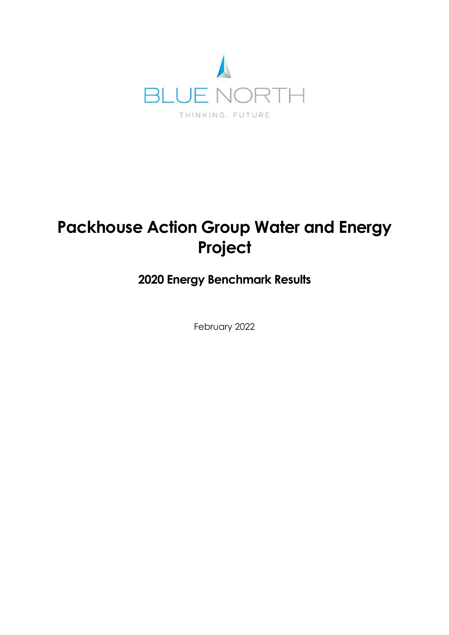

# **Packhouse Action Group Water and Energy Project**

# **2020 Energy Benchmark Results**

February 2022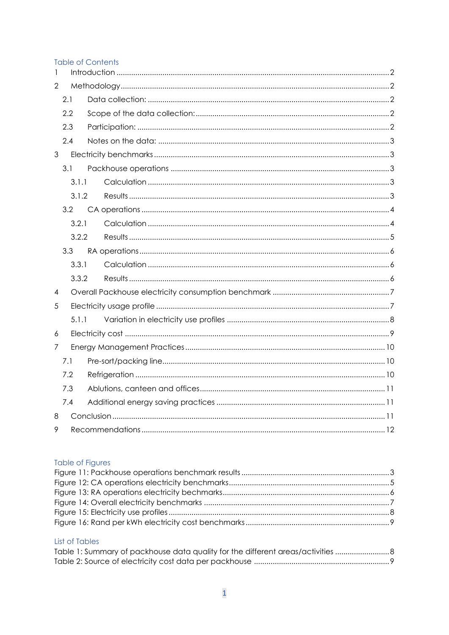#### **Table of Contents**

| $\mathbf{1}$   |       |  |  |  |  |  |
|----------------|-------|--|--|--|--|--|
| $\overline{2}$ |       |  |  |  |  |  |
| 2.1            |       |  |  |  |  |  |
|                | 2.2   |  |  |  |  |  |
|                | 2.3   |  |  |  |  |  |
|                | 2.4   |  |  |  |  |  |
| $\mathfrak{S}$ |       |  |  |  |  |  |
|                | 3.1   |  |  |  |  |  |
|                | 3.1.1 |  |  |  |  |  |
|                | 3.1.2 |  |  |  |  |  |
|                | 3.2   |  |  |  |  |  |
|                | 3.2.1 |  |  |  |  |  |
|                | 3.2.2 |  |  |  |  |  |
| 3.3            |       |  |  |  |  |  |
|                | 3.3.1 |  |  |  |  |  |
|                | 3.3.2 |  |  |  |  |  |
| 4              |       |  |  |  |  |  |
| 5              |       |  |  |  |  |  |
|                | 5.1.1 |  |  |  |  |  |
| 6              |       |  |  |  |  |  |
| 7              |       |  |  |  |  |  |
|                | 7.1   |  |  |  |  |  |
| 7.2            |       |  |  |  |  |  |
| 7.3            |       |  |  |  |  |  |
| 7.4            |       |  |  |  |  |  |
| 8              |       |  |  |  |  |  |
| 9              |       |  |  |  |  |  |

#### Table of Figures

#### List of Tables

| Table 1: Summary of packhouse data quality for the different areas/activities |  |
|-------------------------------------------------------------------------------|--|
|                                                                               |  |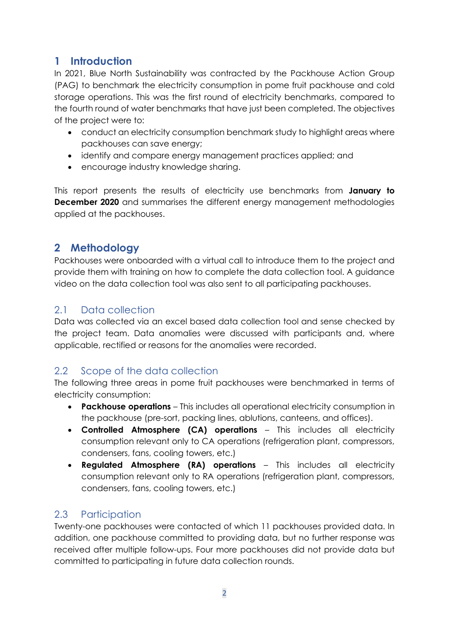# <span id="page-2-0"></span>**1 Introduction**

In 2021, Blue North Sustainability was contracted by the Packhouse Action Group (PAG) to benchmark the electricity consumption in pome fruit packhouse and cold storage operations. This was the first round of electricity benchmarks, compared to the fourth round of water benchmarks that have just been completed. The objectives of the project were to:

- conduct an electricity consumption benchmark study to highlight areas where packhouses can save energy;
- identify and compare energy management practices applied; and
- encourage industry knowledge sharing.

This report presents the results of electricity use benchmarks from **January to December 2020** and summarises the different energy management methodologies applied at the packhouses.

# <span id="page-2-1"></span>**2 Methodology**

Packhouses were onboarded with a virtual call to introduce them to the project and provide them with training on how to complete the data collection tool. A guidance video on the data collection tool was also sent to all participating packhouses.

# <span id="page-2-2"></span>2.1 Data collection

Data was collected via an excel based data collection tool and sense checked by the project team. Data anomalies were discussed with participants and, where applicable, rectified or reasons for the anomalies were recorded.

# <span id="page-2-3"></span>2.2 Scope of the data collection

The following three areas in pome fruit packhouses were benchmarked in terms of electricity consumption:

- **Packhouse operations** This includes all operational electricity consumption in the packhouse (pre-sort, packing lines, ablutions, canteens, and offices).
- **Controlled Atmosphere (CA) operations** This includes all electricity consumption relevant only to CA operations (refrigeration plant, compressors, condensers, fans, cooling towers, etc.)
- **Regulated Atmosphere (RA) operations** This includes all electricity consumption relevant only to RA operations (refrigeration plant, compressors, condensers, fans, cooling towers, etc.)

# <span id="page-2-4"></span>2.3 Participation

Twenty-one packhouses were contacted of which 11 packhouses provided data. In addition, one packhouse committed to providing data, but no further response was received after multiple follow-ups. Four more packhouses did not provide data but committed to participating in future data collection rounds.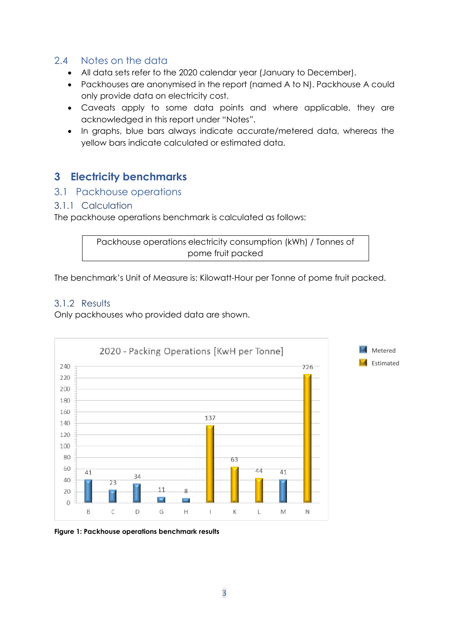## <span id="page-3-0"></span>2.4 Notes on the data

- All data sets refer to the 2020 calendar year (January to December).
- Packhouses are anonymised in the report (named A to N). Packhouse A could only provide data on electricity cost.
- Caveats apply to some data points and where applicable, they are acknowledged in this report under "Notes".
- In graphs, blue bars always indicate accurate/metered data, whereas the yellow bars indicate calculated or estimated data.

# <span id="page-3-1"></span>**3 Electricity benchmarks**

### <span id="page-3-2"></span>3.1 Packhouse operations

#### <span id="page-3-3"></span>3.1.1 Calculation

The packhouse operations benchmark is calculated as follows:

```
Packhouse operations electricity consumption (kWh) / Tonnes of 
         pome fruit packed
```
The benchmark's Unit of Measure is: Kilowatt-Hour per Tonne of pome fruit packed.

#### <span id="page-3-4"></span>3.1.2 Results

Only packhouses who provided data are shown.



<span id="page-3-5"></span>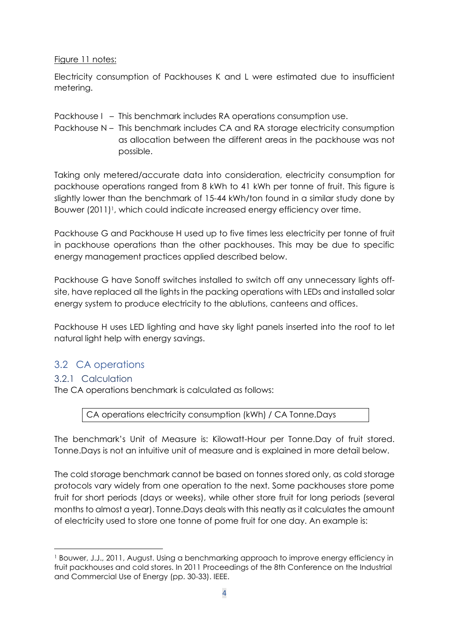#### Figure 11 notes:

Electricity consumption of Packhouses K and L were estimated due to insufficient metering.

Packhouse I – This benchmark includes RA operations consumption use.

Packhouse N – This benchmark includes CA and RA storage electricity consumption as allocation between the different areas in the packhouse was not possible.

Taking only metered/accurate data into consideration, electricity consumption for packhouse operations ranged from 8 kWh to 41 kWh per tonne of fruit. This figure is slightly lower than the benchmark of 15-44 kWh/ton found in a similar study done by Bouwer (2011)<sup>1</sup>, which could indicate increased energy efficiency over time.

Packhouse G and Packhouse H used up to five times less electricity per tonne of fruit in packhouse operations than the other packhouses. This may be due to specific energy management practices applied described below.

Packhouse G have Sonoff switches installed to switch off any unnecessary lights offsite, have replaced all the lights in the packing operations with LEDs and installed solar energy system to produce electricity to the ablutions, canteens and offices.

Packhouse H uses LED lighting and have sky light panels inserted into the roof to let natural light help with energy savings.

# <span id="page-4-0"></span>3.2 CA operations

### <span id="page-4-1"></span>3.2.1 Calculation

The CA operations benchmark is calculated as follows:

CA operations electricity consumption (kWh) / CA Tonne.Days

The benchmark's Unit of Measure is: Kilowatt-Hour per Tonne.Day of fruit stored. Tonne.Days is not an intuitive unit of measure and is explained in more detail below.

The cold storage benchmark cannot be based on tonnes stored only, as cold storage protocols vary widely from one operation to the next. Some packhouses store pome fruit for short periods (days or weeks), while other store fruit for long periods (several months to almost a year). Tonne.Days deals with this neatly as it calculates the amount of electricity used to store one tonne of pome fruit for one day. An example is:

<sup>1</sup> Bouwer, J.J., 2011, August. Using a benchmarking approach to improve energy efficiency in fruit packhouses and cold stores. In 2011 Proceedings of the 8th Conference on the Industrial and Commercial Use of Energy (pp. 30-33). IEEE.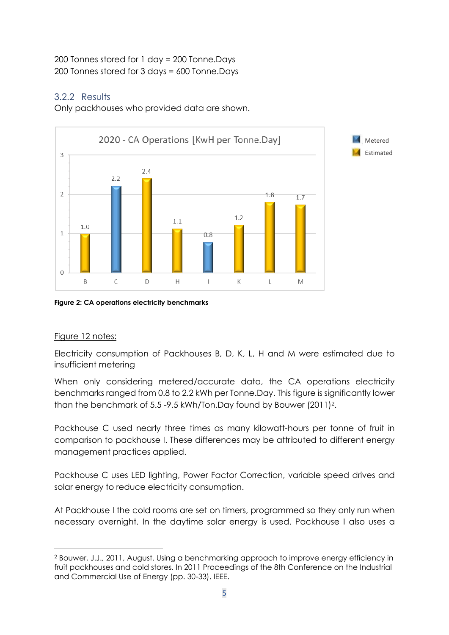#### 200 Tonnes stored for 1 day = 200 Tonne.Days 200 Tonnes stored for 3 days = 600 Tonne.Days

## <span id="page-5-0"></span>3.2.2 Results

Only packhouses who provided data are shown.



<span id="page-5-1"></span>**Figure 2: CA operations electricity benchmarks**

### Figure 12 notes:

Electricity consumption of Packhouses B, D, K, L, H and M were estimated due to insufficient metering

When only considering metered/accurate data, the CA operations electricity benchmarks ranged from 0.8 to 2.2 kWh per Tonne.Day. This figure is significantly lower than the benchmark of 5.5 -9.5 kWh/Ton.Day found by Bouwer (2011)<sup>2</sup>.

Packhouse C used nearly three times as many kilowatt-hours per tonne of fruit in comparison to packhouse I. These differences may be attributed to different energy management practices applied.

Packhouse C uses LED lighting, Power Factor Correction, variable speed drives and solar energy to reduce electricity consumption.

At Packhouse I the cold rooms are set on timers, programmed so they only run when necessary overnight. In the daytime solar energy is used. Packhouse I also uses a

<sup>2</sup> Bouwer, J.J., 2011, August. Using a benchmarking approach to improve energy efficiency in fruit packhouses and cold stores. In 2011 Proceedings of the 8th Conference on the Industrial and Commercial Use of Energy (pp. 30-33). IEEE.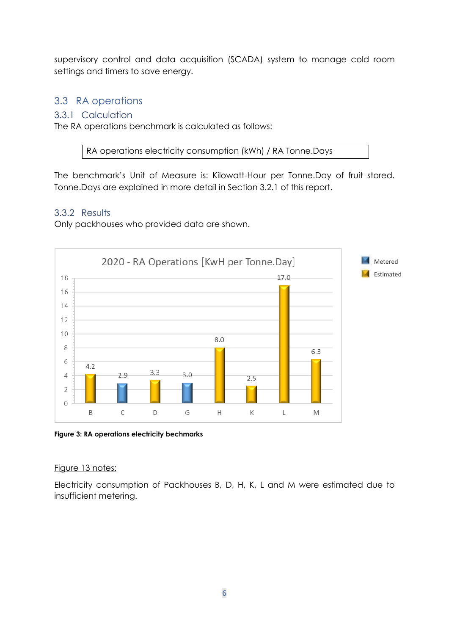supervisory control and data acquisition (SCADA) system to manage cold room settings and timers to save energy.

## <span id="page-6-0"></span>3.3 RA operations

#### <span id="page-6-1"></span>3.3.1 Calculation

The RA operations benchmark is calculated as follows:

RA operations electricity consumption (kWh) / RA Tonne.Days

The benchmark's Unit of Measure is: Kilowatt-Hour per Tonne.Day of fruit stored. Tonne.Days are explained in more detail in Section 3.2.1 of this report.

#### <span id="page-6-2"></span>3.3.2 Results

Only packhouses who provided data are shown.



<span id="page-6-3"></span>**Figure 3: RA operations electricity bechmarks**

#### Figure 13 notes:

Electricity consumption of Packhouses B, D, H, K, L and M were estimated due to insufficient metering.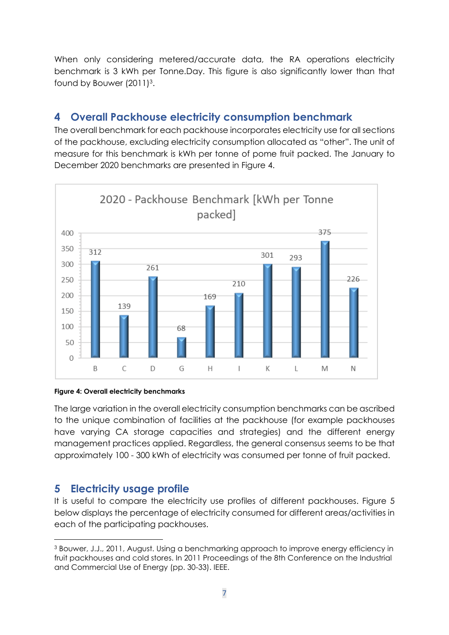When only considering metered/accurate data, the RA operations electricity benchmark is 3 kWh per Tonne.Day. This figure is also significantly lower than that found by Bouwer (2011)<sup>3</sup>.

# <span id="page-7-0"></span>**4 Overall Packhouse electricity consumption benchmark**

The overall benchmark for each packhouse incorporates electricity use for all sections of the packhouse, excluding electricity consumption allocated as "other". The unit of measure for this benchmark is kWh per tonne of pome fruit packed. The January to December 2020 benchmarks are presented in [Figure 4.](#page-7-2)



#### <span id="page-7-2"></span>**Figure 4: Overall electricity benchmarks**

The large variation in the overall electricity consumption benchmarks can be ascribed to the unique combination of facilities at the packhouse (for example packhouses have varying CA storage capacities and strategies) and the different energy management practices applied. Regardless, the general consensus seems to be that approximately 100 - 300 kWh of electricity was consumed per tonne of fruit packed.

# <span id="page-7-1"></span>**5 Electricity usage profile**

It is useful to compare the electricity use profiles of different packhouses. [Figure 5](#page-8-1) below displays the percentage of electricity consumed for different areas/activities in each of the participating packhouses.

<sup>3</sup> Bouwer, J.J., 2011, August. Using a benchmarking approach to improve energy efficiency in fruit packhouses and cold stores. In 2011 Proceedings of the 8th Conference on the Industrial and Commercial Use of Energy (pp. 30-33). IEEE.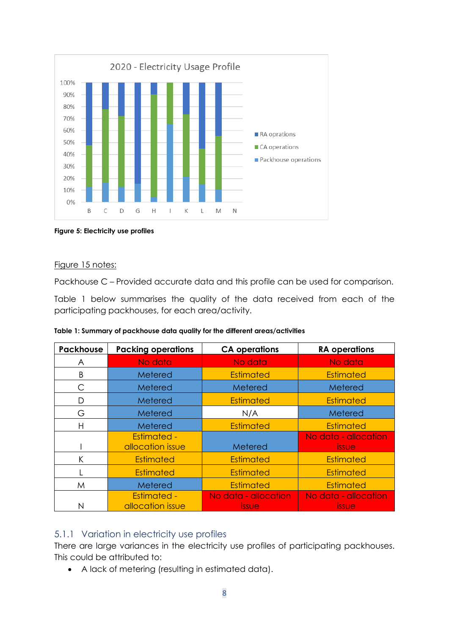

<span id="page-8-1"></span>**Figure 5: Electricity use profiles**

#### Figure 15 notes:

Packhouse C – Provided accurate data and this profile can be used for comparison.

[Table 1](#page-8-2) below summarises the quality of the data received from each of the participating packhouses, for each area/activity.

<span id="page-8-2"></span>

|  | Table 1: Summary of packhouse data quality for the different areas/activities |  |  |  |
|--|-------------------------------------------------------------------------------|--|--|--|

| <b>Packhouse</b> | <b>Packing operations</b>              | <b>CA operations</b> | <b>RA</b> operations                 |
|------------------|----------------------------------------|----------------------|--------------------------------------|
| A                | No data                                | No data              | No data                              |
| B                | Metered                                | <b>Estimated</b>     | <b>Estimated</b>                     |
| С                | Metered                                | Metered              | Metered                              |
| D                | Metered                                | <b>Estimated</b>     | <b>Estimated</b>                     |
| G                | Metered                                | N/A                  | Metered                              |
| H                | Metered                                | <b>Estimated</b>     | <b>Estimated</b>                     |
|                  | <b>Estimated -</b><br>allocation issue | Metered              | No data - allocation<br><b>issue</b> |
| K                | <b>Estimated</b>                       | <b>Estimated</b>     | <b>Estimated</b>                     |
|                  | Estimated                              | <b>Estimated</b>     | <b>Estimated</b>                     |
| M                | Metered                                | <b>Estimated</b>     | <b>Estimated</b>                     |
|                  | <b>Estimated -</b>                     | No data - allocation | No data - allocation                 |
|                  | allocation issue                       | <i><u>issue</u></i>  | <i>issue</i>                         |

#### <span id="page-8-0"></span>5.1.1 Variation in electricity use profiles

There are large variances in the electricity use profiles of participating packhouses. This could be attributed to:

• A lack of metering (resulting in estimated data).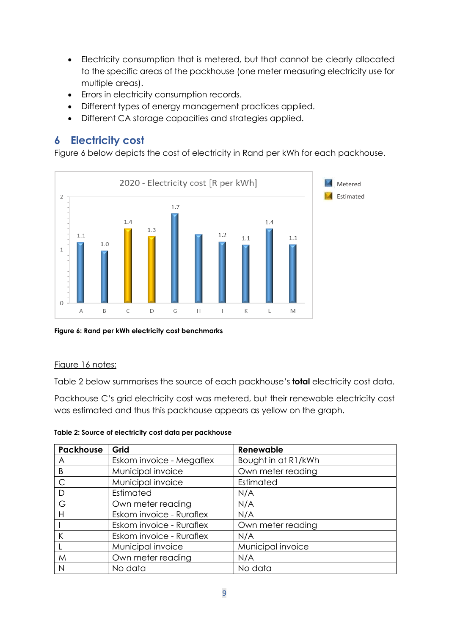- Electricity consumption that is metered, but that cannot be clearly allocated to the specific areas of the packhouse (one meter measuring electricity use for multiple areas).
- Errors in electricity consumption records.
- Different types of energy management practices applied.
- Different CA storage capacities and strategies applied.

# <span id="page-9-0"></span>**6 Electricity cost**

[Figure 6](#page-9-1) below depicts the cost of electricity in Rand per kWh for each packhouse.



<span id="page-9-1"></span>**Figure 6: Rand per kWh electricity cost benchmarks**

#### Figure 16 notes:

[Table 2](#page-9-2) below summarises the source of each packhouse's **total** electricity cost data.

Packhouse C's grid electricity cost was metered, but their renewable electricity cost was estimated and thus this packhouse appears as yellow on the graph.

<span id="page-9-2"></span>

| Table 2: Source of electricity cost data per packhouse |  |  |  |  |
|--------------------------------------------------------|--|--|--|--|
|--------------------------------------------------------|--|--|--|--|

| <b>Packhouse</b> | Grid                     | Renewable           |
|------------------|--------------------------|---------------------|
| A                | Eskom invoice - Megaflex | Bought in at R1/kWh |
| B                | Municipal invoice        | Own meter reading   |
| $\mathsf{C}$     | Municipal invoice        | Estimated           |
| D                | Estimated                | N/A                 |
| G                | Own meter reading        | N/A                 |
| Н                | Eskom invoice - Ruraflex | N/A                 |
|                  | Eskom invoice - Ruraflex | Own meter reading   |
|                  | Eskom invoice - Ruraflex | N/A                 |
|                  | Municipal invoice        | Municipal invoice   |
| M                | Own meter reading        | N/A                 |
| N                | No data                  | No data             |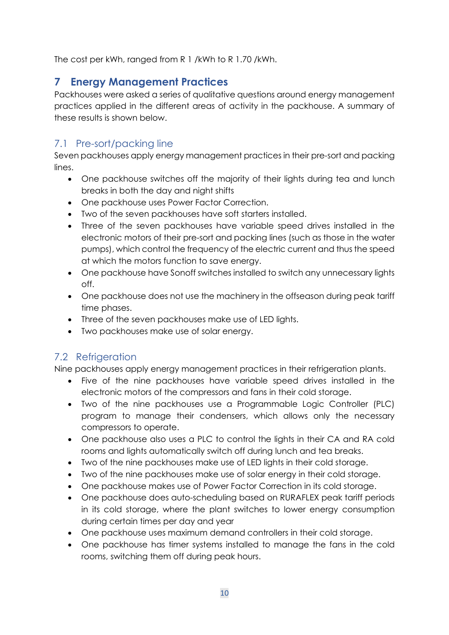The cost per kWh, ranged from R 1 /kWh to R 1.70 /kWh.

# <span id="page-10-0"></span>**7 Energy Management Practices**

Packhouses were asked a series of qualitative questions around energy management practices applied in the different areas of activity in the packhouse. A summary of these results is shown below.

# <span id="page-10-1"></span>7.1 Pre-sort/packing line

Seven packhouses apply energy management practices in their pre-sort and packing lines.

- One packhouse switches off the majority of their lights during tea and lunch breaks in both the day and night shifts
- One packhouse uses Power Factor Correction.
- Two of the seven packhouses have soft starters installed.
- Three of the seven packhouses have variable speed drives installed in the electronic motors of their pre-sort and packing lines (such as those in the water pumps), which control the frequency of the electric current and thus the speed at which the motors function to save energy.
- One packhouse have Sonoff switches installed to switch any unnecessary lights off.
- One packhouse does not use the machinery in the offseason during peak tariff time phases.
- Three of the seven packhouses make use of LED lights.
- Two packhouses make use of solar energy.

# <span id="page-10-2"></span>7.2 Refrigeration

Nine packhouses apply energy management practices in their refrigeration plants.

- Five of the nine packhouses have variable speed drives installed in the electronic motors of the compressors and fans in their cold storage.
- Two of the nine packhouses use a Programmable Logic Controller (PLC) program to manage their condensers, which allows only the necessary compressors to operate.
- One packhouse also uses a PLC to control the lights in their CA and RA cold rooms and lights automatically switch off during lunch and tea breaks.
- Two of the nine packhouses make use of LED lights in their cold storage.
- Two of the nine packhouses make use of solar energy in their cold storage.
- One packhouse makes use of Power Factor Correction in its cold storage.
- One packhouse does auto-scheduling based on RURAFLEX peak tariff periods in its cold storage, where the plant switches to lower energy consumption during certain times per day and year
- One packhouse uses maximum demand controllers in their cold storage.
- One packhouse has timer systems installed to manage the fans in the cold rooms, switching them off during peak hours.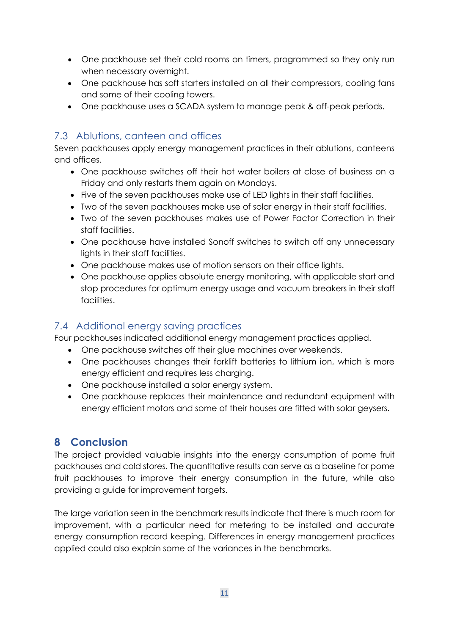- One packhouse set their cold rooms on timers, programmed so they only run when necessary overnight.
- One packhouse has soft starters installed on all their compressors, cooling fans and some of their cooling towers.
- One packhouse uses a SCADA system to manage peak & off-peak periods.

# <span id="page-11-0"></span>7.3 Ablutions, canteen and offices

Seven packhouses apply energy management practices in their ablutions, canteens and offices.

- One packhouse switches off their hot water boilers at close of business on a Friday and only restarts them again on Mondays.
- Five of the seven packhouses make use of LED lights in their staff facilities.
- Two of the seven packhouses make use of solar energy in their staff facilities.
- Two of the seven packhouses makes use of Power Factor Correction in their staff facilities.
- One packhouse have installed Sonoff switches to switch off any unnecessary lights in their staff facilities.
- One packhouse makes use of motion sensors on their office lights.
- One packhouse applies absolute energy monitoring, with applicable start and stop procedures for optimum energy usage and vacuum breakers in their staff facilities.

# <span id="page-11-1"></span>7.4 Additional energy saving practices

Four packhouses indicated additional energy management practices applied.

- One packhouse switches off their glue machines over weekends.
- One packhouses changes their forklift batteries to lithium ion, which is more energy efficient and requires less charging.
- One packhouse installed a solar energy system.
- One packhouse replaces their maintenance and redundant equipment with energy efficient motors and some of their houses are fitted with solar geysers.

# <span id="page-11-2"></span>**8 Conclusion**

The project provided valuable insights into the energy consumption of pome fruit packhouses and cold stores. The quantitative results can serve as a baseline for pome fruit packhouses to improve their energy consumption in the future, while also providing a guide for improvement targets.

The large variation seen in the benchmark results indicate that there is much room for improvement, with a particular need for metering to be installed and accurate energy consumption record keeping. Differences in energy management practices applied could also explain some of the variances in the benchmarks.